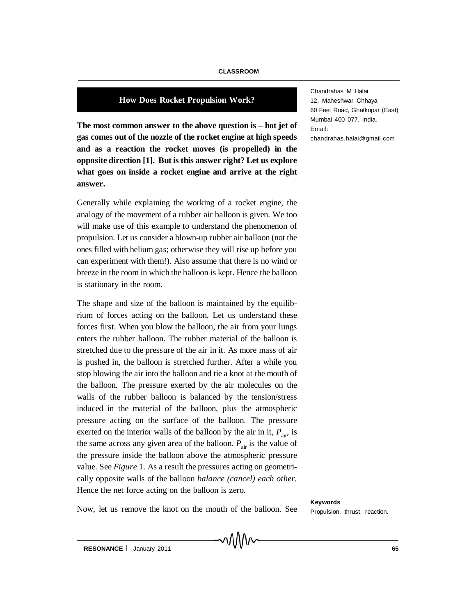# **How Does Rocket Propulsion Work?**

**The most common answer to the above question is – hot jet of gas comes out of the nozzle of the rocket engine at high speeds and as a reaction the rocket moves (is propelled) in the opposite direction [1]. But is this answer right? Let us explore what goes on inside a rocket engine and arrive at the right answer.**

Generally while explaining the working of a rocket engine, the analogy of the movement of a rubber air balloon is given. We too will make use of this example to understand the phenomenon of propulsion. Let us consider a blown-up rubber air balloon (not the ones filled with helium gas; otherwise they will rise up before you can experiment with them!). Also assume that there is no wind or breeze in the room in which the balloon is kept. Hence the balloon is stationary in the room.

The shape and size of the balloon is maintained by the equilibrium of forces acting on the balloon. Let us understand these forces first. When you blow the balloon, the air from your lungs enters the rubber balloon. The rubber material of the balloon is stretched due to the pressure of the air in it. As more mass of air is pushed in, the balloon is stretched further. After a while you stop blowing the air into the balloon and tie a knot at the mouth of the balloon. The pressure exerted by the air molecules on the walls of the rubber balloon is balanced by the tension/stress induced in the material of the balloon, plus the atmospheric pressure acting on the surface of the balloon. The pressure exerted on the interior walls of the balloon by the air in it,  $P_{air}$ , is the same across any given area of the balloon.  $P_{\text{air}}$  is the value of the pressure inside the balloon above the atmospheric pressure value. See *Figure* 1. As a result the pressures acting on geometrically opposite walls of the balloon *balance (cancel) each other.* Hence the net force acting on the balloon is zero.

Chandrahas M Halai 12, Maheshwar Chhaya 60 Feet Road, Ghatkopar (East) Mumbai 400 077, India. Email: chandrahas.halai@gmail.com

Now, let us remove the knot on the mouth of the balloon. See

**Keywords** Propulsion, thrust, reaction.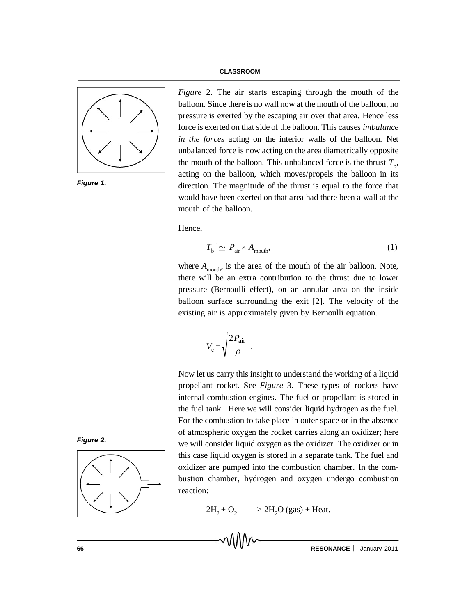

*Figure 1.*

*Figure* 2. The air starts escaping through the mouth of the balloon. Since there is no wall now at the mouth of the balloon, no pressure is exerted by the escaping air over that area. Hence less force is exerted on that side of the balloon. This causes *imbalance in the forces* acting on the interior walls of the balloon. Net unbalanced force is now acting on the area diametrically opposite the mouth of the balloon. This unbalanced force is the thrust  $T_{\rm b}$ , acting on the balloon, which moves/propels the balloon in its direction. The magnitude of the thrust is equal to the force that would have been exerted on that area had there been a wall at the mouth of the balloon.

Hence,

$$
T_{\rm b} \simeq P_{\rm air} \times A_{\rm mouth},\tag{1}
$$

where  $A_{\text{mouth}}$ , is the area of the mouth of the air balloon. Note, there will be an extra contribution to the thrust due to lower pressure (Bernoulli effect), on an annular area on the inside balloon surface surrounding the exit [2]. The velocity of the existing air is approximately given by Bernoulli equation.

$$
V_{\rm e} = \sqrt{\frac{2 P_{\rm air}}{\rho}} \ .
$$

Now let us carry this insight to understand the working of a liquid propellant rocket. See *Figure* 3. These types of rockets have internal combustion engines. The fuel or propellant is stored in the fuel tank. Here we will consider liquid hydrogen as the fuel. For the combustion to take place in outer space or in the absence of atmospheric oxygen the rocket carries along an oxidizer; here we will consider liquid oxygen as the oxidizer. The oxidizer or in this case liquid oxygen is stored in a separate tank. The fuel and oxidizer are pumped into the combustion chamber. In the combustion chamber, hydrogen and oxygen undergo combustion reaction:

$$
2H_2 + O_2 \longrightarrow 2H_2O \text{ (gas)} + Heat.
$$





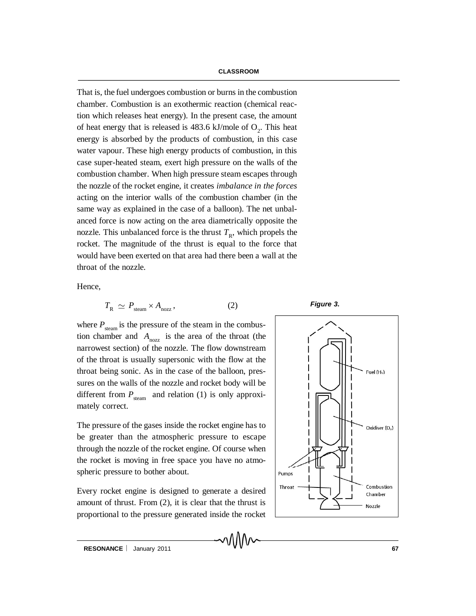That is, the fuel undergoes combustion or burns in the combustion chamber. Combustion is an exothermic reaction (chemical reaction which releases heat energy). In the present case, the amount of heat energy that is released is 483.6 kJ/mole of  $O_2$ . This heat energy is absorbed by the products of combustion, in this case water vapour. These high energy products of combustion, in this case super-heated steam, exert high pressure on the walls of the combustion chamber. When high pressure steam escapes through the nozzle of the rocket engine, it creates *imbalance in the forces* acting on the interior walls of the combustion chamber (in the same way as explained in the case of a balloon). The net unbalanced force is now acting on the area diametrically opposite the nozzle. This unbalanced force is the thrust  $T_R$ , which propels the rocket. The magnitude of the thrust is equal to the force that would have been exerted on that area had there been a wall at the throat of the nozzle.

Hence,

$$
T_{\rm R} \simeq P_{\rm steam} \times A_{\rm nozz},\tag{2}
$$

where  $P_{\text{stem}}$  is the pressure of the steam in the combustion chamber and  $A_{\text{nozz}}$  is the area of the throat (the narrowest section) of the nozzle. The flow downstream of the throat is usually supersonic with the flow at the throat being sonic. As in the case of the balloon, pressures on the walls of the nozzle and rocket body will be different from  $P_{\text{stram}}$  and relation (1) is only approximately correct.

The pressure of the gases inside the rocket engine has to be greater than the atmospheric pressure to escape through the nozzle of the rocket engine. Of course when the rocket is moving in free space you have no atmospheric pressure to bother about.

Every rocket engine is designed to generate a desired amount of thrust. From (2), it is clear that the thrust is proportional to the pressure generated inside the rocket

MM